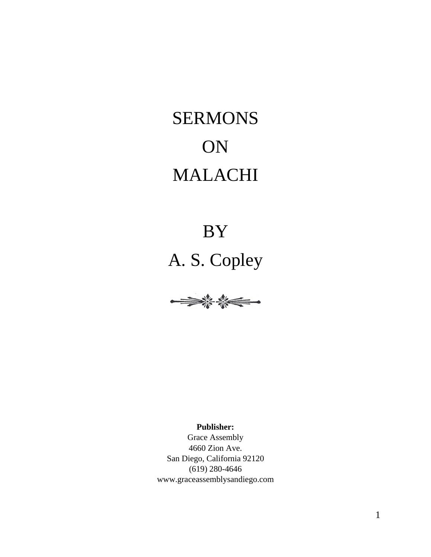# SERMONS ON MALACHI

# BY



**Publisher:**

Grace Assembly 4660 Zion Ave. San Diego, California 92120 (619) 280-4646 www.graceassemblysandiego.com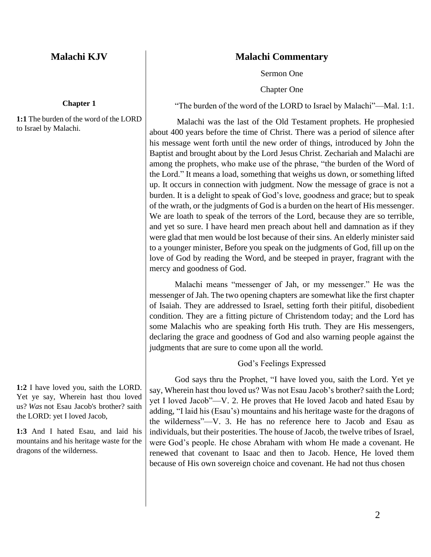# **Malachi KJV**

#### **Chapter 1**

**1:1** The burden of the word of the LORD to Israel by Malachi.

**1:2** I have loved you, saith the LORD. Yet ye say, Wherein hast thou loved us? *Was* not Esau Jacob's brother? saith the LORD: yet I loved Jacob,

**1:3** And I hated Esau, and laid his mountains and his heritage waste for the dragons of the wilderness.

# **Malachi Commentary**

Sermon One

Chapter One

"The burden of the word of the LORD to Israel by Malachi"—Mal. 1:1.

Malachi was the last of the Old Testament prophets. He prophesied about 400 years before the time of Christ. There was a period of silence after his message went forth until the new order of things, introduced by John the Baptist and brought about by the Lord Jesus Christ. Zechariah and Malachi are among the prophets, who make use of the phrase, "the burden of the Word of the Lord." It means a load, something that weighs us down, or something lifted up. It occurs in connection with judgment. Now the message of grace is not a burden. It is a delight to speak of God's love, goodness and grace; but to speak of the wrath, or the judgments of God is a burden on the heart of His messenger. We are loath to speak of the terrors of the Lord, because they are so terrible, and yet so sure. I have heard men preach about hell and damnation as if they were glad that men would be lost because of their sins. An elderly minister said to a younger minister, Before you speak on the judgments of God, fill up on the love of God by reading the Word, and be steeped in prayer, fragrant with the mercy and goodness of God.

Malachi means "messenger of Jah, or my messenger." He was the messenger of Jah. The two opening chapters are somewhat like the first chapter of Isaiah. They are addressed to Israel, setting forth their pitiful, disobedient condition. They are a fitting picture of Christendom today; and the Lord has some Malachis who are speaking forth His truth. They are His messengers, declaring the grace and goodness of God and also warning people against the judgments that are sure to come upon all the world.

# God's Feelings Expressed

God says thru the Prophet, "I have loved you, saith the Lord. Yet ye say, Wherein hast thou loved us? Was not Esau Jacob's brother? saith the Lord; yet I loved Jacob"—V. 2. He proves that He loved Jacob and hated Esau by adding, "I laid his (Esau's) mountains and his heritage waste for the dragons of the wilderness"—V. 3. He has no reference here to Jacob and Esau as individuals, but their posterities. The house of Jacob, the twelve tribes of Israel, were God's people. He chose Abraham with whom He made a covenant. He renewed that covenant to Isaac and then to Jacob. Hence, He loved them because of His own sovereign choice and covenant. He had not thus chosen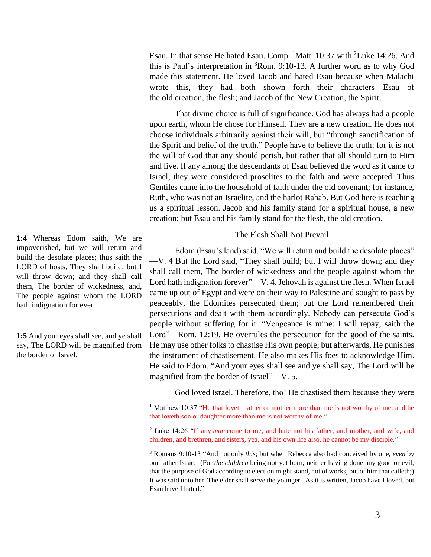**1:4** Whereas Edom saith, We are impoverished, but we will return and build the desolate places; thus saith the LORD of hosts, They shall build, but I will throw down; and they shall call them, The border of wickedness, and, The people against whom the LORD hath indignation for ever.

**1:5** And your eyes shall see, and ye shall say, The LORD will be magnified from the border of Israel.

Esau. In that sense He hated Esau. Comp. <sup>1</sup>Matt. 10:37 with <sup>2</sup>Luke 14:26. And this is Paul's interpretation in  ${}^{3}$ Rom. 9:10-13. A further word as to why God made this statement. He loved Jacob and hated Esau because when Malachi wrote this, they had both shown forth their characters—Esau of the old creation, the flesh; and Jacob of the New Creation, the Spirit.

That divine choice is full of significance. God has always had a people upon earth, whom He chose for Himself. They are a new creation. He does not choose individuals arbitrarily against their will, but "through sanctification of the Spirit and belief of the truth." People have to believe the truth; for it is not the will of God that any should perish, but rather that all should turn to Him and live. If any among the descendants of Esau believed the word as it came to Israel, they were considered proselites to the faith and were accepted. Thus Gentiles came into the household of faith under the old covenant; for instance, Ruth, who was not an Israelite, and the harlot Rahab. But God here is teaching us a spiritual lesson. Jacob and his family stand for a spiritual house, a new creation; but Esau and his family stand for the flesh, the old creation.

# The Flesh Shall Not Prevail

Edom (Esau's land) said, "We will return and build the desolate places" —V. 4 But the Lord said, "They shall build; but I will throw down; and they shall call them, The border of wickedness and the people against whom the Lord hath indignation forever"—V. 4. Jehovah is against the flesh. When Israel came up out of Egypt and were on their way to Palestine and sought to pass by peaceably, the Edomites persecuted them; but the Lord remembered their persecutions and dealt with them accordingly. Nobody can persecute God's people without suffering for it. "Vengeance is mine: I will repay, saith the Lord"—Rom. 12:19. He overrules the persecution for the good of the saints. He may use other folks to chastise His own people; but afterwards, He punishes the instrument of chastisement. He also makes His foes to acknowledge Him. He said to Edom, "And your eyes shall see and ye shall say, The Lord will be magnified from the border of Israel"—V. 5.

God loved Israel. Therefore, tho' He chastised them because they were

<sup>1</sup> Matthew 10:37 "He that loveth father or mother more than me is not worthy of me: and he that loveth son or daughter more than me is not worthy of me."

<sup>2</sup> Luke 14:26 "If any *man* come to me, and hate not his father, and mother, and wife, and children, and brethren, and sisters, yea, and his own life also, he cannot be my disciple."

<sup>3</sup> Romans 9:10-13 "And not only *this*; but when Rebecca also had conceived by one, *even* by our father Isaac; (For *the children* being not yet born, neither having done any good or evil, that the purpose of God according to election might stand, not of works, but of him that calleth;) It was said unto her, The elder shall serve the younger. As it is written, Jacob have I loved, but Esau have I hated."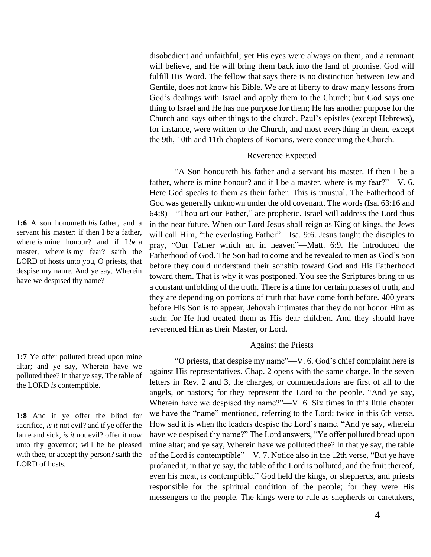**1:6** A son honoureth *his* father, and a servant his master: if then I *be* a father, where *is* mine honour? and if I *be* a master, where *is* my fear? saith the LORD of hosts unto you, O priests, that despise my name. And ye say, Wherein have we despised thy name?

**1:7** Ye offer polluted bread upon mine altar; and ye say, Wherein have we polluted thee? In that ye say, The table of the LORD *is* contemptible.

**1:8** And if ye offer the blind for sacrifice, *is it* not evil? and if ye offer the lame and sick, *is it* not evil? offer it now unto thy governor; will he be pleased with thee, or accept thy person? saith the LORD of hosts.

disobedient and unfaithful; yet His eyes were always on them, and a remnant will believe, and He will bring them back into the land of promise. God will fulfill His Word. The fellow that says there is no distinction between Jew and Gentile, does not know his Bible. We are at liberty to draw many lessons from God's dealings with Israel and apply them to the Church; but God says one thing to Israel and He has one purpose for them; He has another purpose for the Church and says other things to the church. Paul's epistles (except Hebrews), for instance, were written to the Church, and most everything in them, except the 9th, 10th and 11th chapters of Romans, were concerning the Church.

#### Reverence Expected

"A Son honoureth his father and a servant his master. If then I be a father, where is mine honour? and if I be a master, where is my fear?"—V. 6. Here God speaks to them as their father. This is unusual. The Fatherhood of God was generally unknown under the old covenant. The words (Isa. 63:16 and 64:8)—"Thou art our Father," are prophetic. Israel will address the Lord thus in the near future. When our Lord Jesus shall reign as King of kings, the Jews will call Him, "the everlasting Father"—Isa. 9:6. Jesus taught the disciples to pray, "Our Father which art in heaven"—Matt. 6:9. He introduced the Fatherhood of God. The Son had to come and be revealed to men as God's Son before they could understand their sonship toward God and His Fatherhood toward them. That is why it was postponed. You see the Scriptures bring to us a constant unfolding of the truth. There is a time for certain phases of truth, and they are depending on portions of truth that have come forth before. 400 years before His Son is to appear, Jehovah intimates that they do not honor Him as such; for He had treated them as His dear children. And they should have reverenced Him as their Master, or Lord.

# Against the Priests

"O priests, that despise my name"—V. 6. God's chief complaint here is against His representatives. Chap. 2 opens with the same charge. In the seven letters in Rev. 2 and 3, the charges, or commendations are first of all to the angels, or pastors; for they represent the Lord to the people. "And ye say, Wherein have we despised thy name?"—V. 6. Six times in this little chapter we have the "name" mentioned, referring to the Lord; twice in this 6th verse. How sad it is when the leaders despise the Lord's name. "And ye say, wherein have we despised thy name?" The Lord answers, "Ye offer polluted bread upon mine altar; and ye say, Wherein have we polluted thee? In that ye say, the table of the Lord is contemptible"—V. 7. Notice also in the 12th verse, "But ye have profaned it, in that ye say, the table of the Lord is polluted, and the fruit thereof, even his meat, is contemptible." God held the kings, or shepherds, and priests responsible for the spiritual condition of the people; for they were His messengers to the people. The kings were to rule as shepherds or caretakers,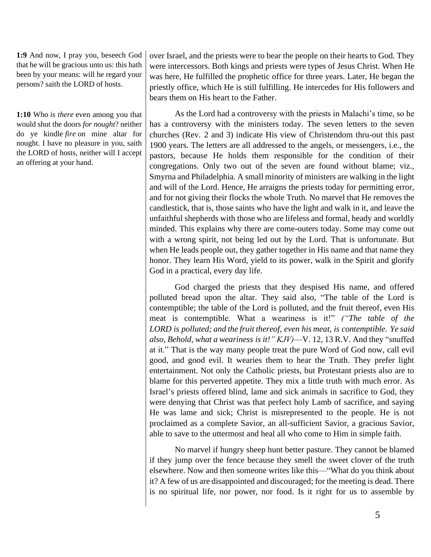**1:9** And now, I pray you, beseech God that he will be gracious unto us: this hath been by your means: will he regard your persons? saith the LORD of hosts.

**1:10** Who *is there* even among you that would shut the doors *for nought*? neither do ye kindle *fire* on mine altar for nought. I have no pleasure in you, saith the LORD of hosts, neither will I accept an offering at your hand.

over Israel, and the priests were to bear the people on their hearts to God. They were intercessors. Both kings and priests were types of Jesus Christ. When He was here, He fulfilled the prophetic office for three years. Later, He began the priestly office, which He is still fulfilling. He intercedes for His followers and bears them on His heart to the Father.

As the Lord had a controversy with the priests in Malachi's time, so he has a controversy with the ministers today. The seven letters to the seven churches (Rev. 2 and 3) indicate His view of Christendom thru-out this past 1900 years. The letters are all addressed to the angels, or messengers, i.e., the pastors, because He holds them responsible for the condition of their congregations. Only two out of the seven are found without blame; viz., Smyrna and Philadelphia. A small minority of ministers are walking in the light and will of the Lord. Hence, He arraigns the priests today for permitting error, and for not giving their flocks the whole Truth. No marvel that He removes the candlestick, that is, those saints who have the light and walk in it, and leave the unfaithful shepherds with those who are lifeless and formal, heady and worldly minded. This explains why there are come-outers today. Some may come out with a wrong spirit, not being led out by the Lord. That is unfortunate. But when He leads people out, they gather together in His name and that name they honor. They learn His Word, yield to its power, walk in the Spirit and glorify God in a practical, every day life.

God charged the priests that they despised His name, and offered polluted bread upon the altar. They said also, "The table of the Lord is contemptible; the table of the Lord is polluted, and the fruit thereof, even His meat is contemptible. What a weariness is it!" *("The table of the LORD is polluted; and the fruit thereof, even his meat, is contemptible. Ye said also, Behold, what a weariness is it!" KJV)*—V. 12, 13 R.V. And they "snuffed at it." That is the way many people treat the pure Word of God now, call evil good, and good evil. It wearies them to hear the Truth. They prefer light entertainment. Not only the Catholic priests, but Protestant priests also are to blame for this perverted appetite. They mix a little truth with much error. As Israel's priests offered blind, lame and sick animals in sacrifice to God, they were denying that Christ was that perfect holy Lamb of sacrifice, and saying He was lame and sick; Christ is misrepresented to the people. He is not proclaimed as a complete Savior, an all-sufficient Savior, a gracious Savior, able to save to the uttermost and heal all who come to Him in simple faith.

No marvel if hungry sheep hunt better pasture. They cannot be blamed if they jump over the fence because they smell the sweet clover of the truth elsewhere. Now and then someone writes like this—"What do you think about it? A few of us are disappointed and discouraged; for the meeting is dead. There is no spiritual life, nor power, nor food. Is it right for us to assemble by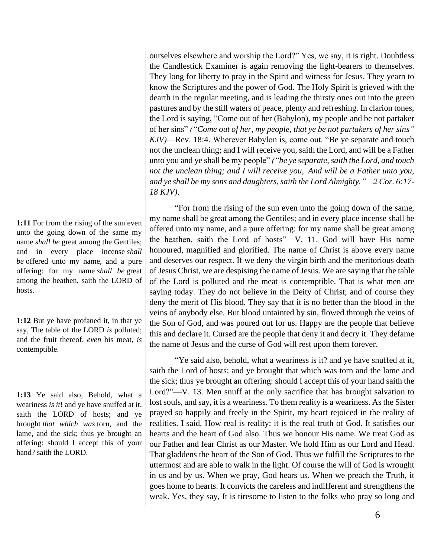**1:11** For from the rising of the sun even unto the going down of the same my name *shall be* great among the Gentiles; and in every place incense *shall be* offered unto my name, and a pure offering: for my name *shall be* great among the heathen, saith the LORD of hosts.

**1:12** But ye have profaned it, in that ye say, The table of the LORD *is* polluted; and the fruit thereof, *even* his meat, *is* contemptible.

**1:13** Ye said also, Behold, what a weariness *is it*! and ye have snuffed at it, saith the LORD of hosts; and ye brought *that which was* torn, and the lame, and the sick; thus ye brought an offering: should I accept this of your hand? saith the LORD.

ourselves elsewhere and worship the Lord?" Yes, we say, it is right. Doubtless the Candlestick Examiner is again removing the light-bearers to themselves. They long for liberty to pray in the Spirit and witness for Jesus. They yearn to know the Scriptures and the power of God. The Holy Spirit is grieved with the dearth in the regular meeting, and is leading the thirsty ones out into the green pastures and by the still waters of peace, plenty and refreshing. In clarion tones, the Lord is saying, "Come out of her (Babylon), my people and be not partaker of her sins" *("Come out of her, my people, that ye be not partakers of her sins" KJV)*—Rev. 18:4. Wherever Babylon is, come out. "Be ye separate and touch not the unclean thing; and I will receive you, saith the Lord, and will be a Father unto you and ye shall be my people" *("be ye separate, saith the Lord, and touch not the unclean thing; and I will receive you, And will be a Father unto you, and ye shall be my sons and daughters, saith the Lord Almighty."—2 Cor. 6:17- 18 KJV)*.

"For from the rising of the sun even unto the going down of the same, my name shall be great among the Gentiles; and in every place incense shall be offered unto my name, and a pure offering: for my name shall be great among the heathen, saith the Lord of hosts"—V. 11. God will have His name honoured, magnified and glorified. The name of Christ is above every name and deserves our respect. If we deny the virgin birth and the meritorious death of Jesus Christ, we are despising the name of Jesus. We are saying that the table of the Lord is polluted and the meat is contemptible. That is what men are saying today. They do not believe in the Deity of Christ; and of course they deny the merit of His blood. They say that it is no better than the blood in the veins of anybody else. But blood untainted by sin, flowed through the veins of the Son of God, and was poured out for us. Happy are the people that believe this and declare it. Cursed are the people that deny it and decry it. They defame the name of Jesus and the curse of God will rest upon them forever.

"Ye said also, behold, what a weariness is it? and ye have snuffed at it, saith the Lord of hosts; and ye brought that which was torn and the lame and the sick; thus ye brought an offering: should I accept this of your hand saith the Lord?"—V. 13. Men snuff at the only sacrifice that has brought salvation to lost souls, and say, it is a weariness. To them reality is a weariness. As the Sister prayed so happily and freely in the Spirit, my heart rejoiced in the reality of realities. I said, How real is reality: it is the real truth of God. It satisfies our hearts and the heart of God also. Thus we honour His name. We treat God as our Father and fear Christ as our Master. We hold Him as our Lord and Head. That gladdens the heart of the Son of God. Thus we fulfill the Scriptures to the uttermost and are able to walk in the light. Of course the will of God is wrought in us and by us. When we pray, God hears us. When we preach the Truth, it goes home to hearts. It convicts the careless and indifferent and strengthens the weak. Yes, they say, It is tiresome to listen to the folks who pray so long and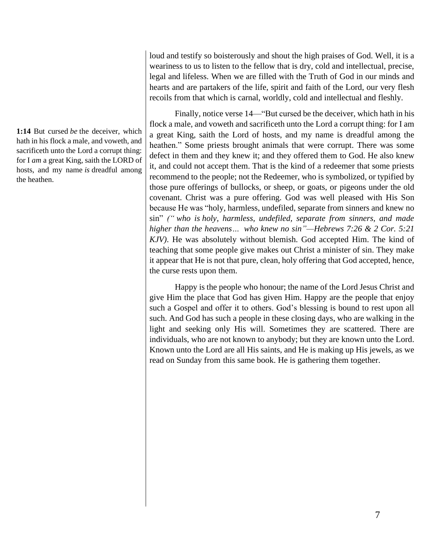**1:14** But cursed *be* the deceiver, which hath in his flock a male, and voweth, and sacrificeth unto the Lord a corrupt thing: for I *am* a great King, saith the LORD of hosts, and my name *is* dreadful among the heathen.

loud and testify so boisterously and shout the high praises of God. Well, it is a weariness to us to listen to the fellow that is dry, cold and intellectual, precise, legal and lifeless. When we are filled with the Truth of God in our minds and hearts and are partakers of the life, spirit and faith of the Lord, our very flesh recoils from that which is carnal, worldly, cold and intellectual and fleshly.

Finally, notice verse 14—"But cursed be the deceiver, which hath in his flock a male, and voweth and sacrificeth unto the Lord a corrupt thing: for I am a great King, saith the Lord of hosts, and my name is dreadful among the heathen." Some priests brought animals that were corrupt. There was some defect in them and they knew it; and they offered them to God. He also knew it, and could not accept them. That is the kind of a redeemer that some priests recommend to the people; not the Redeemer, who is symbolized, or typified by those pure offerings of bullocks, or sheep, or goats, or pigeons under the old covenant. Christ was a pure offering. God was well pleased with His Son because He was "holy, harmless, undefiled, separate from sinners and knew no sin" *(" who is holy, harmless, undefiled, separate from sinners, and made higher than the heavens… who knew no sin"—Hebrews 7:26 & 2 Cor. 5:21 KJV)*. He was absolutely without blemish. God accepted Him. The kind of teaching that some people give makes out Christ a minister of sin. They make it appear that He is not that pure, clean, holy offering that God accepted, hence, the curse rests upon them.

Happy is the people who honour; the name of the Lord Jesus Christ and give Him the place that God has given Him. Happy are the people that enjoy such a Gospel and offer it to others. God's blessing is bound to rest upon all such. And God has such a people in these closing days, who are walking in the light and seeking only His will. Sometimes they are scattered. There are individuals, who are not known to anybody; but they are known unto the Lord. Known unto the Lord are all His saints, and He is making up His jewels, as we read on Sunday from this same book. He is gathering them together.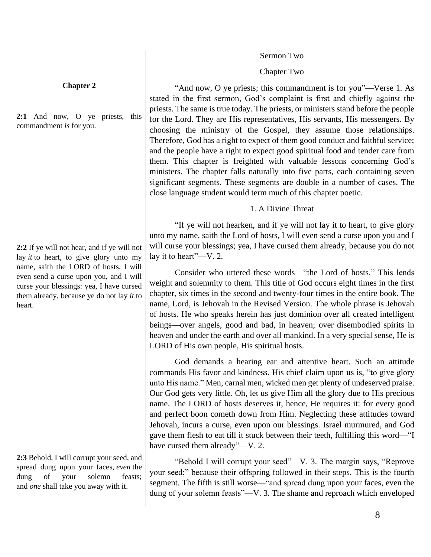#### Sermon Two

# Chapter Two

"And now, O ye priests; this commandment is for you"—Verse 1. As stated in the first sermon, God's complaint is first and chiefly against the priests. The same is true today. The priests, or ministers stand before the people for the Lord. They are His representatives, His servants, His messengers. By choosing the ministry of the Gospel, they assume those relationships. Therefore, God has a right to expect of them good conduct and faithful service; and the people have a right to expect good spiritual food and tender care from them. This chapter is freighted with valuable lessons concerning God's ministers. The chapter falls naturally into five parts, each containing seven significant segments. These segments are double in a number of cases. The close language student would term much of this chapter poetic.

# 1. A Divine Threat

"If ye will not hearken, and if ye will not lay it to heart, to give glory unto my name, saith the Lord of hosts, I will even send a curse upon you and I will curse your blessings; yea, I have cursed them already, because you do not lay it to heart"—V. 2.

Consider who uttered these words—"the Lord of hosts." This lends weight and solemnity to them. This title of God occurs eight times in the first chapter, six times in the second and twenty-four times in the entire book. The name, Lord, is Jehovah in the Revised Version. The whole phrase is Jehovah of hosts. He who speaks herein has just dominion over all created intelligent beings—over angels, good and bad, in heaven; over disembodied spirits in heaven and under the earth and over all mankind. In a very special sense, He is LORD of His own people, His spiritual hosts.

God demands a hearing ear and attentive heart. Such an attitude commands His favor and kindness. His chief claim upon us is, "to give glory unto His name." Men, carnal men, wicked men get plenty of undeserved praise. Our God gets very little. Oh, let us give Him all the glory due to His precious name. The LORD of hosts deserves it, hence, He requires it: for every good and perfect boon cometh down from Him. Neglecting these attitudes toward Jehovah, incurs a curse, even upon our blessings. Israel murmured, and God gave them flesh to eat till it stuck between their teeth, fulfilling this word—"I have cursed them already"—V. 2.

"Behold I will corrupt your seed"—V. 3. The margin says, "Reprove your seed;" because their offspring followed in their steps. This is the fourth segment. The fifth is still worse—"and spread dung upon your faces, even the dung of your solemn feasts"—V. 3. The shame and reproach which enveloped

#### **Chapter 2**

**2:1** And now, O ye priests, this commandment *is* for you.

**2:2** If ye will not hear, and if ye will not lay *it* to heart, to give glory unto my name, saith the LORD of hosts, I will even send a curse upon you, and I will curse your blessings: yea, I have cursed them already, because ye do not lay *it* to heart.

**2:3** Behold, I will corrupt your seed, and spread dung upon your faces, *even* the dung of your solemn feasts; and *one* shall take you away with it.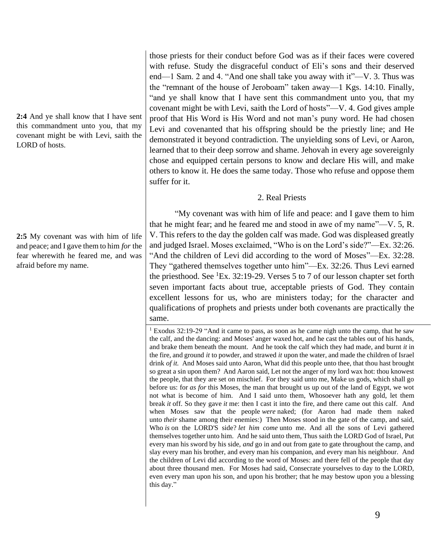**2:4** And ye shall know that I have sent this commandment unto you, that my covenant might be with Levi, saith the LORD of hosts.

**2:5** My covenant was with him of life and peace; and I gave them to him *for* the fear wherewith he feared me, and was afraid before my name.

those priests for their conduct before God was as if their faces were covered with refuse. Study the disgraceful conduct of Eli's sons and their deserved end—1 Sam. 2 and 4. "And one shall take you away with it"—V. 3. Thus was the "remnant of the house of Jeroboam" taken away—1 Kgs. 14:10. Finally, "and ye shall know that I have sent this commandment unto you, that my covenant might be with Levi, saith the Lord of hosts"—V. 4. God gives ample proof that His Word is His Word and not man's puny word. He had chosen Levi and covenanted that his offspring should be the priestly line; and He demonstrated it beyond contradiction. The unyielding sons of Levi, or Aaron, learned that to their deep sorrow and shame. Jehovah in every age sovereignly chose and equipped certain persons to know and declare His will, and make others to know it. He does the same today. Those who refuse and oppose them suffer for it.

# 2. Real Priests

"My covenant was with him of life and peace: and I gave them to him that he might fear; and he feared me and stood in awe of my name"—V. 5, R. V. This refers to the day the golden calf was made. God was displeased greatly and judged Israel. Moses exclaimed, "Who is on the Lord's side?"—Ex. 32:26. "And the children of Levi did according to the word of Moses"—Ex. 32:28. They "gathered themselves together unto him"—Ex. 32:26. Thus Levi earned the priesthood. See  ${}^{1}Ex.$  32:19-29. Verses 5 to 7 of our lesson chapter set forth seven important facts about true, acceptable priests of God. They contain excellent lessons for us, who are ministers today; for the character and qualifications of prophets and priests under both covenants are practically the same.

<sup>1</sup> Exodus 32:19-29 "And it came to pass, as soon as he came nigh unto the camp, that he saw the calf, and the dancing: and Moses' anger waxed hot, and he cast the tables out of his hands, and brake them beneath the mount. And he took the calf which they had made, and burnt *it* in the fire, and ground *it* to powder, and strawed *it* upon the water, and made the children of Israel drink *of it.* And Moses said unto Aaron, What did this people unto thee, that thou hast brought so great a sin upon them? And Aaron said, Let not the anger of my lord wax hot: thou knowest the people, that they are set on mischief. For they said unto me, Make us gods, which shall go before us: for *as for* this Moses, the man that brought us up out of the land of Egypt, we wot not what is become of him. And I said unto them, Whosoever hath any gold, let them break *it* off. So they gave *it* me: then I cast it into the fire, and there came out this calf. And when Moses saw that the people *were* naked; (for Aaron had made them naked unto *their* shame among their enemies:) Then Moses stood in the gate of the camp, and said, Who *is* on the LORD'S side? *let him come* unto me. And all the sons of Levi gathered themselves together unto him. And he said unto them, Thus saith the LORD God of Israel, Put every man his sword by his side, *and* go in and out from gate to gate throughout the camp, and slay every man his brother, and every man his companion, and every man his neighbour. And the children of Levi did according to the word of Moses: and there fell of the people that day about three thousand men. For Moses had said, Consecrate yourselves to day to the LORD, even every man upon his son, and upon his brother; that he may bestow upon you a blessing this day."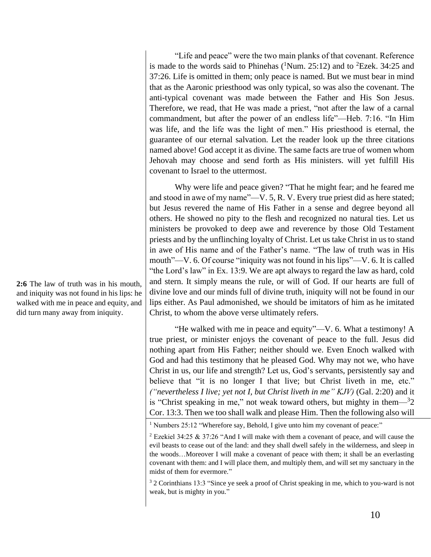"Life and peace" were the two main planks of that covenant. Reference is made to the words said to Phinehas  $(^1$ Num. 25:12) and to <sup>2</sup>Ezek. 34:25 and 37:26. Life is omitted in them; only peace is named. But we must bear in mind that as the Aaronic priesthood was only typical, so was also the covenant. The anti-typical covenant was made between the Father and His Son Jesus. Therefore, we read, that He was made a priest, "not after the law of a carnal commandment, but after the power of an endless life"—Heb. 7:16. "In Him was life, and the life was the light of men." His priesthood is eternal, the guarantee of our eternal salvation. Let the reader look up the three citations named above! God accept it as divine. The same facts are true of women whom Jehovah may choose and send forth as His ministers. will yet fulfill His covenant to Israel to the uttermost.

Why were life and peace given? "That he might fear; and he feared me and stood in awe of my name"—V. 5, R. V. Every true priest did as here stated; but Jesus revered the name of His Father in a sense and degree beyond all others. He showed no pity to the flesh and recognized no natural ties. Let us ministers be provoked to deep awe and reverence by those Old Testament priests and by the unflinching loyalty of Christ. Let us take Christ in us to stand in awe of His name and of the Father's name. "The law of truth was in His mouth"—V. 6. Of course "iniquity was not found in his lips"—V. 6. It is called "the Lord's law" in Ex. 13:9. We are apt always to regard the law as hard, cold and stern. It simply means the rule, or will of God. If our hearts are full of divine love and our minds full of divine truth, iniquity will not be found in our lips either. As Paul admonished, we should be imitators of him as he imitated Christ, to whom the above verse ultimately refers.

"He walked with me in peace and equity"—V. 6. What a testimony! A true priest, or minister enjoys the covenant of peace to the full. Jesus did nothing apart from His Father; neither should we. Even Enoch walked with God and had this testimony that he pleased God. Why may not we, who have Christ in us, our life and strength? Let us, God's servants, persistently say and believe that "it is no longer I that live; but Christ liveth in me, etc." *("nevertheless I live; yet not I, but Christ liveth in me" KJV)* (Gal. 2:20) and it is "Christ speaking in me," not weak toward others, but mighty in them $-32$ Cor. 13:3. Then we too shall walk and please Him. Then the following also will

<sup>3</sup> 2 Corinthians 13:3 "Since ye seek a proof of Christ speaking in me, which to you-ward is not weak, but is mighty in you."

**2:6** The law of truth was in his mouth, and iniquity was not found in his lips: he walked with me in peace and equity, and did turn many away from iniquity.

<sup>&</sup>lt;sup>1</sup> Numbers 25:12 "Wherefore say, Behold, I give unto him my covenant of peace:"

<sup>&</sup>lt;sup>2</sup> Ezekiel 34:25 & 37:26 "And I will make with them a covenant of peace, and will cause the evil beasts to cease out of the land: and they shall dwell safely in the wilderness, and sleep in the woods…Moreover I will make a covenant of peace with them; it shall be an everlasting covenant with them: and I will place them, and multiply them, and will set my sanctuary in the midst of them for evermore."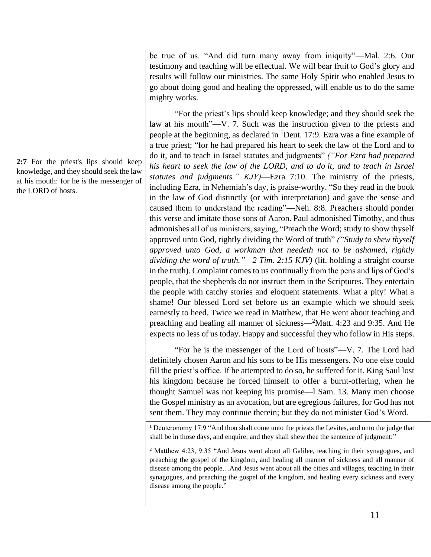**2:7** For the priest's lips should keep knowledge, and they should seek the law at his mouth: for he *is* the messenger of the LORD of hosts.

be true of us. "And did turn many away from iniquity"—Mal. 2:6. Our testimony and teaching will be effectual. We will bear fruit to God's glory and results will follow our ministries. The same Holy Spirit who enabled Jesus to go about doing good and healing the oppressed, will enable us to do the same mighty works.

"For the priest's lips should keep knowledge; and they should seek the law at his mouth"—V. 7. Such was the instruction given to the priests and people at the beginning, as declared in <sup>1</sup>Deut. 17:9. Ezra was a fine example of a true priest; "for he had prepared his heart to seek the law of the Lord and to do it, and to teach in Israel statutes and judgments" *("For Ezra had prepared his heart to seek the law of the LORD, and to do it, and to teach in Israel statutes and judgments." KJV)*—Ezra 7:10. The ministry of the priests, including Ezra, in Nehemiah's day, is praise-worthy. "So they read in the book in the law of God distinctly (or with interpretation) and gave the sense and caused them to understand the reading"—Neh. 8:8. Preachers should ponder this verse and imitate those sons of Aaron. Paul admonished Timothy, and thus admonishes all of us ministers, saying, "Preach the Word; study to show thyself approved unto God, rightly dividing the Word of truth" *("Study to shew thyself approved unto God, a workman that needeth not to be ashamed, rightly dividing the word of truth."—2 Tim. 2:15 KJV)* (lit. holding a straight course in the truth). Complaint comes to us continually from the pens and lips of God's people, that the shepherds do not instruct them in the Scriptures. They entertain the people with catchy stories and eloquent statements. What a pity! What a shame! Our blessed Lord set before us an example which we should seek earnestly to heed. Twice we read in Matthew, that He went about teaching and preaching and healing all manner of sickness—<sup>2</sup>Matt. 4:23 and 9:35. And He expects no less of us today. Happy and successful they who follow in His steps.

"For he is the messenger of the Lord of hosts"—V. 7. The Lord had definitely chosen Aaron and his sons to be His messengers. No one else could fill the priest's office. If he attempted to do so, he suffered for it. King Saul lost his kingdom because he forced himself to offer a burnt-offering, when he thought Samuel was not keeping his promise—l Sam. 13. Many men choose the Gospel ministry as an avocation, but are egregious failures, for God has not sent them. They may continue therein; but they do not minister God's Word.

<sup>1</sup> Deuteronomy 17:9 "And thou shalt come unto the priests the Levites, and unto the judge that shall be in those days, and enquire; and they shall shew thee the sentence of judgment:"

 $2$  Matthew 4:23, 9:35 "And Jesus went about all Galilee, teaching in their synagogues, and preaching the gospel of the kingdom, and healing all manner of sickness and all manner of disease among the people…And Jesus went about all the cities and villages, teaching in their synagogues, and preaching the gospel of the kingdom, and healing every sickness and every disease among the people."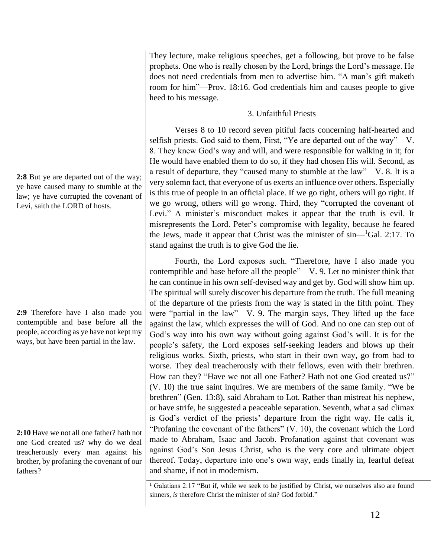**2:8** But ye are departed out of the way; ye have caused many to stumble at the law; ye have corrupted the covenant of Levi, saith the LORD of hosts.

**2:9** Therefore have I also made you contemptible and base before all the people, according as ye have not kept my ways, but have been partial in the law.

**2:10** Have we not all one father? hath not one God created us? why do we deal treacherously every man against his brother, by profaning the covenant of our fathers?

They lecture, make religious speeches, get a following, but prove to be false prophets. One who is really chosen by the Lord, brings the Lord's message. He does not need credentials from men to advertise him. "A man's gift maketh room for him"—Prov. 18:16. God credentials him and causes people to give heed to his message.

# 3. Unfaithful Priests

Verses 8 to 10 record seven pitiful facts concerning half-hearted and selfish priests. God said to them, First, "Ye are departed out of the way"—V. 8. They knew God's way and will, and were responsible for walking in it; for He would have enabled them to do so, if they had chosen His will. Second, as a result of departure, they "caused many to stumble at the law"—V. 8. It is a very solemn fact, that everyone of us exerts an influence over others. Especially is this true of people in an official place. If we go right, others will go right. If we go wrong, others will go wrong. Third, they "corrupted the covenant of Levi." A minister's misconduct makes it appear that the truth is evil. It misrepresents the Lord. Peter's compromise with legality, because he feared the Jews, made it appear that Christ was the minister of sin—<sup>1</sup>Gal. 2:17. To stand against the truth is to give God the lie.

Fourth, the Lord exposes such. "Therefore, have I also made you contemptible and base before all the people"—V. 9. Let no minister think that he can continue in his own self-devised way and get by. God will show him up. The spiritual will surely discover his departure from the truth. The full meaning of the departure of the priests from the way is stated in the fifth point. They were "partial in the law"—V. 9. The margin says, They lifted up the face against the law, which expresses the will of God. And no one can step out of God's way into his own way without going against God's will. It is for the people's safety, the Lord exposes self-seeking leaders and blows up their religious works. Sixth, priests, who start in their own way, go from bad to worse. They deal treacherously with their fellows, even with their brethren. How can they? "Have we not all one Father? Hath not one God created us?" (V. 10) the true saint inquires. We are members of the same family. "We be brethren" (Gen. 13:8), said Abraham to Lot. Rather than mistreat his nephew, or have strife, he suggested a peaceable separation. Seventh, what a sad climax is God's verdict of the priests' departure from the right way. He calls it, "Profaning the covenant of the fathers" (V. 10), the covenant which the Lord made to Abraham, Isaac and Jacob. Profanation against that covenant was against God's Son Jesus Christ, who is the very core and ultimate object thereof. Today, departure into one's own way, ends finally in, fearful defeat and shame, if not in modernism.

<sup>&</sup>lt;sup>1</sup> Galatians 2:17 "But if, while we seek to be justified by Christ, we ourselves also are found sinners, *is* therefore Christ the minister of sin? God forbid."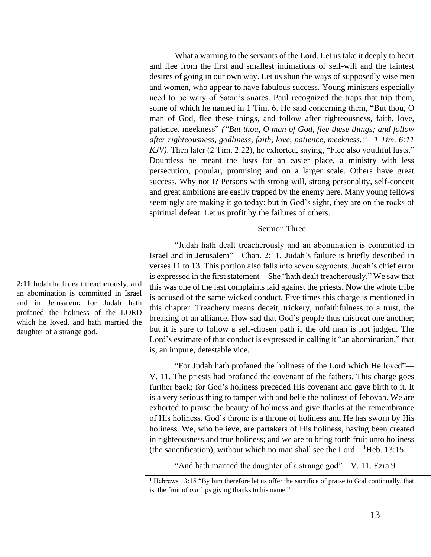What a warning to the servants of the Lord. Let us take it deeply to heart and flee from the first and smallest intimations of self-will and the faintest desires of going in our own way. Let us shun the ways of supposedly wise men and women, who appear to have fabulous success. Young ministers especially need to be wary of Satan's snares. Paul recognized the traps that trip them, some of which he named in 1 Tim. 6. He said concerning them, "But thou, O man of God, flee these things, and follow after righteousness, faith, love, patience, meekness" *("But thou, O man of God, flee these things; and follow after righteousness, godliness, faith, love, patience, meekness."—1 Tim. 6:11 KJV)*. Then later (2 Tim. 2:22), he exhorted, saying, "Flee also youthful lusts." Doubtless he meant the lusts for an easier place, a ministry with less persecution, popular, promising and on a larger scale. Others have great success. Why not I? Persons with strong will, strong personality, self-conceit and great ambitions are easily trapped by the enemy here. Many young fellows seemingly are making it go today; but in God's sight, they are on the rocks of spiritual defeat. Let us profit by the failures of others.

#### Sermon Three

"Judah hath dealt treacherously and an abomination is committed in Israel and in Jerusalem"—Chap. 2:11. Judah's failure is briefly described in verses 11 to 13. This portion also falls into seven segments. Judah's chief error is expressed in the first statement—She "hath dealt treacherously." We saw that this was one of the last complaints laid against the priests. Now the whole tribe is accused of the same wicked conduct. Five times this charge is mentioned in this chapter. Treachery means deceit, trickery, unfaithfulness to a trust, the breaking of an alliance. How sad that God's people thus mistreat one another; but it is sure to follow a self-chosen path if the old man is not judged. The Lord's estimate of that conduct is expressed in calling it "an abomination," that is, an impure, detestable vice.

"For Judah hath profaned the holiness of the Lord which He loved"— V. 11. The priests had profaned the covenant of the fathers. This charge goes further back; for God's holiness preceded His covenant and gave birth to it. It is a very serious thing to tamper with and belie the holiness of Jehovah. We are exhorted to praise the beauty of holiness and give thanks at the remembrance of His holiness. God's throne is a throne of holiness and He has sworn by His holiness. We, who believe, are partakers of His holiness, having been created in righteousness and true holiness; and we are to bring forth fruit unto holiness (the sanctification), without which no man shall see the Lord— $^1$ Heb. 13:15.

"And hath married the daughter of a strange god"—V. 11. Ezra 9

**2:11** Judah hath dealt treacherously, and an abomination is committed in Israel and in Jerusalem; for Judah hath profaned the holiness of the LORD which he loved, and hath married the daughter of a strange god.

<sup>&</sup>lt;sup>1</sup> Hebrews 13:15 "By him therefore let us offer the sacrifice of praise to God continually, that is, the fruit of *our* lips giving thanks to his name."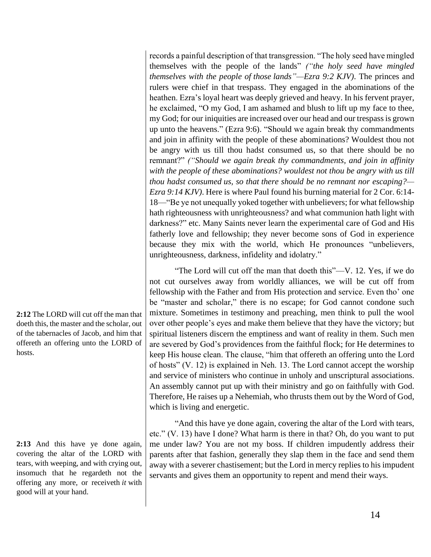records a painful description of that transgression. "The holy seed have mingled themselves with the people of the lands" *("the holy seed have mingled themselves with the people of those lands"—Ezra 9:2 KJV)*. The princes and rulers were chief in that trespass. They engaged in the abominations of the heathen. Ezra's loyal heart was deeply grieved and heavy. In his fervent prayer, he exclaimed, "O my God, I am ashamed and blush to lift up my face to thee, my God; for our iniquities are increased over our head and our trespass is grown up unto the heavens." (Ezra 9:6). "Should we again break thy commandments and join in affinity with the people of these abominations? Wouldest thou not be angry with us till thou hadst consumed us, so that there should be no remnant?" *("Should we again break thy commandments, and join in affinity*  with the people of these abominations? wouldest not thou be angry with us till *thou hadst consumed us, so that there should be no remnant nor escaping?— Ezra 9:14 KJV)*. Here is where Paul found his burning material for 2 Cor. 6:14- 18—"Be ye not unequally yoked together with unbelievers; for what fellowship hath righteousness with unrighteousness? and what communion hath light with darkness?" etc. Many Saints never learn the experimental care of God and His fatherly love and fellowship; they never become sons of God in experience because they mix with the world, which He pronounces "unbelievers, unrighteousness, darkness, infidelity and idolatry."

"The Lord will cut off the man that doeth this"—V. 12. Yes, if we do not cut ourselves away from worldly alliances, we will be cut off from fellowship with the Father and from His protection and service. Even tho' one be "master and scholar," there is no escape; for God cannot condone such mixture. Sometimes in testimony and preaching, men think to pull the wool over other people's eyes and make them believe that they have the victory; but spiritual listeners discern the emptiness and want of reality in them. Such men are severed by God's providences from the faithful flock; for He determines to keep His house clean. The clause, "him that offereth an offering unto the Lord of hosts" (V. 12) is explained in Neh. 13. The Lord cannot accept the worship and service of ministers who continue in unholy and unscriptural associations. An assembly cannot put up with their ministry and go on faithfully with God. Therefore, He raises up a Nehemiah, who thrusts them out by the Word of God, which is living and energetic.

"And this have ye done again, covering the altar of the Lord with tears, etc." (V. 13) have I done? What harm is there in that? Oh, do you want to put me under law? You are not my boss. If children impudently address their parents after that fashion, generally they slap them in the face and send them away with a severer chastisement; but the Lord in mercy replies to his impudent servants and gives them an opportunity to repent and mend their ways.

**2:12** The LORD will cut off the man that doeth this, the master and the scholar, out of the tabernacles of Jacob, and him that offereth an offering unto the LORD of hosts.

**2:13** And this have ye done again, covering the altar of the LORD with tears, with weeping, and with crying out, insomuch that he regardeth not the offering any more, or receiveth *it* with good will at your hand.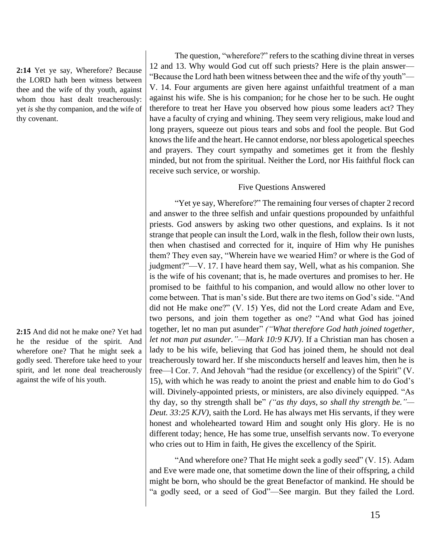**2:14** Yet ye say, Wherefore? Because the LORD hath been witness between thee and the wife of thy youth, against whom thou hast dealt treacherously: yet *is* she thy companion, and the wife of thy covenant.

**2:15** And did not he make one? Yet had he the residue of the spirit. And wherefore one? That he might seek a godly seed. Therefore take heed to your spirit, and let none deal treacherously against the wife of his youth.

The question, "wherefore?" refers to the scathing divine threat in verses 12 and 13. Why would God cut off such priests? Here is the plain answer— "Because the Lord hath been witness between thee and the wife of thy youth"— V. 14. Four arguments are given here against unfaithful treatment of a man against his wife. She is his companion; for he chose her to be such. He ought therefore to treat her Have you observed how pious some leaders act? They have a faculty of crying and whining. They seem very religious, make loud and long prayers, squeeze out pious tears and sobs and fool the people. But God knows the life and the heart. He cannot endorse, nor bless apologetical speeches and prayers. They court sympathy and sometimes get it from the fleshly minded, but not from the spiritual. Neither the Lord, nor His faithful flock can receive such service, or worship.

#### Five Questions Answered

"Yet ye say, Wherefore?" The remaining four verses of chapter 2 record and answer to the three selfish and unfair questions propounded by unfaithful priests. God answers by asking two other questions, and explains. Is it not strange that people can insult the Lord, walk in the flesh, follow their own lusts, then when chastised and corrected for it, inquire of Him why He punishes them? They even say, "Wherein have we wearied Him? or where is the God of judgment?"—V. 17. I have heard them say, Well, what as his companion. She is the wife of his covenant; that is, he made overtures and promises to her. He promised to be faithful to his companion, and would allow no other lover to come between. That is man's side. But there are two items on God's side. "And did not He make one?" (V. 15) Yes, did not the Lord create Adam and Eve, two persons, and join them together as one? "And what God has joined together, let no man put asunder" *("What therefore God hath joined together, let not man put asunder."—Mark 10:9 KJV)*. If a Christian man has chosen a lady to be his wife, believing that God has joined them, he should not deal treacherously toward her. If she misconducts herself and leaves him, then he is free—l Cor. 7. And Jehovah "had the residue (or excellency) of the Spirit" (V. 15), with which he was ready to anoint the priest and enable him to do God's will. Divinely-appointed priests, or ministers, are also divinely equipped. "As thy day, so thy strength shall be" *("as thy days, so shall thy strength be."— Deut. 33:25 KJV)*, saith the Lord. He has always met His servants, if they were honest and wholehearted toward Him and sought only His glory. He is no different today; hence, He has some true, unselfish servants now. To everyone who cries out to Him in faith, He gives the excellency of the Spirit.

"And wherefore one? That He might seek a godly seed" (V. 15). Adam and Eve were made one, that sometime down the line of their offspring, a child might be born, who should be the great Benefactor of mankind. He should be "a godly seed, or a seed of God"—See margin. But they failed the Lord.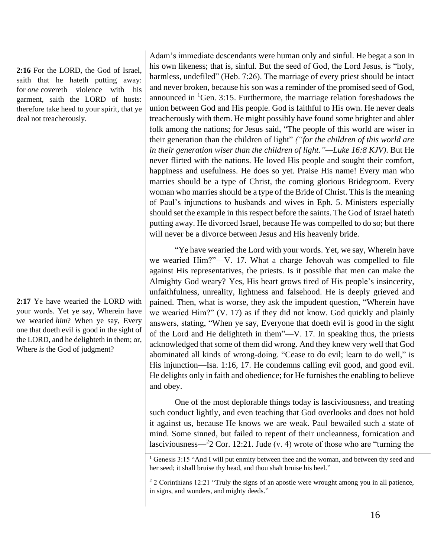**2:16** For the LORD, the God of Israel, saith that he hateth putting away: for *one* covereth violence with his garment, saith the LORD of hosts: therefore take heed to your spirit, that ye deal not treacherously.

**2:17** Ye have wearied the LORD with your words. Yet ye say, Wherein have we wearied *him*? When ye say, Every one that doeth evil *is* good in the sight of the LORD, and he delighteth in them; or, Where *is* the God of judgment?

Adam's immediate descendants were human only and sinful. He begat a son in his own likeness; that is, sinful. But the seed of God, the Lord Jesus, is "holy, harmless, undefiled" (Heb. 7:26). The marriage of every priest should be intact and never broken, because his son was a reminder of the promised seed of God, announced in  ${}^{1}$ Gen. 3:15. Furthermore, the marriage relation foreshadows the union between God and His people. God is faithful to His own. He never deals treacherously with them. He might possibly have found some brighter and abler folk among the nations; for Jesus said, "The people of this world are wiser in their generation than the children of light" *("for the children of this world are in their generation wiser than the children of light."—Luke 16:8 KJV)*. But He never flirted with the nations. He loved His people and sought their comfort, happiness and usefulness. He does so yet. Praise His name! Every man who marries should be a type of Christ, the coming glorious Bridegroom. Every woman who marries should be a type of the Bride of Christ. This is the meaning of Paul's injunctions to husbands and wives in Eph. 5. Ministers especially should set the example in this respect before the saints. The God of Israel hateth putting away. He divorced Israel, because He was compelled to do so; but there will never be a divorce between Jesus and His heavenly bride.

"Ye have wearied the Lord with your words. Yet, we say, Wherein have we wearied Him?"—V. 17. What a charge Jehovah was compelled to file against His representatives, the priests. Is it possible that men can make the Almighty God weary? Yes, His heart grows tired of His people's insincerity, unfaithfulness, unreality, lightness and falsehood. He is deeply grieved and pained. Then, what is worse, they ask the impudent question, "Wherein have we wearied Him?" (V. 17) as if they did not know. God quickly and plainly answers, stating, "When ye say, Everyone that doeth evil is good in the sight of the Lord and He delighteth in them"—V. 17. In speaking thus, the priests acknowledged that some of them did wrong. And they knew very well that God abominated all kinds of wrong-doing. "Cease to do evil; learn to do well," is His injunction—Isa. 1:16, 17. He condemns calling evil good, and good evil. He delights only in faith and obedience; for He furnishes the enabling to believe and obey.

One of the most deplorable things today is lasciviousness, and treating such conduct lightly, and even teaching that God overlooks and does not hold it against us, because He knows we are weak. Paul bewailed such a state of mind. Some sinned, but failed to repent of their uncleanness, fornication and lasciviousness— $2$  Cor. 12:21. Jude (v. 4) wrote of those who are "turning the

<sup>&</sup>lt;sup>1</sup> Genesis 3:15 "And I will put enmity between thee and the woman, and between thy seed and her seed; it shall bruise thy head, and thou shalt bruise his heel."

<sup>2</sup> 2 Corinthians 12:21 "Truly the signs of an apostle were wrought among you in all patience, in signs, and wonders, and mighty deeds."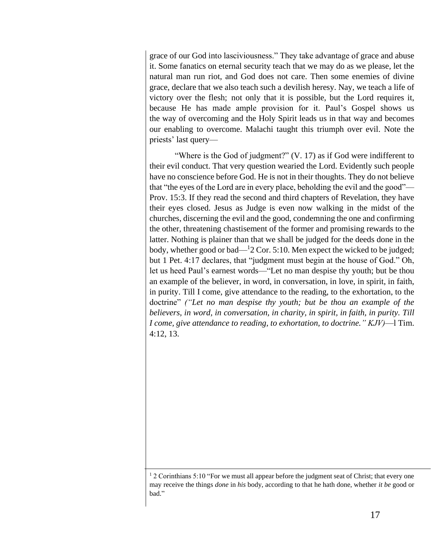grace of our God into lasciviousness." They take advantage of grace and abuse it. Some fanatics on eternal security teach that we may do as we please, let the natural man run riot, and God does not care. Then some enemies of divine grace, declare that we also teach such a devilish heresy. Nay, we teach a life of victory over the flesh; not only that it is possible, but the Lord requires it, because He has made ample provision for it. Paul's Gospel shows us the way of overcoming and the Holy Spirit leads us in that way and becomes our enabling to overcome. Malachi taught this triumph over evil. Note the priests' last query—

"Where is the God of judgment?" (V. 17) as if God were indifferent to their evil conduct. That very question wearied the Lord. Evidently such people have no conscience before God. He is not in their thoughts. They do not believe that "the eyes of the Lord are in every place, beholding the evil and the good"— Prov. 15:3. If they read the second and third chapters of Revelation, they have their eyes closed. Jesus as Judge is even now walking in the midst of the churches, discerning the evil and the good, condemning the one and confirming the other, threatening chastisement of the former and promising rewards to the latter. Nothing is plainer than that we shall be judged for the deeds done in the body, whether good or bad— $12$  Cor. 5:10. Men expect the wicked to be judged; but 1 Pet. 4:17 declares, that "judgment must begin at the house of God." Oh, let us heed Paul's earnest words—"Let no man despise thy youth; but be thou an example of the believer, in word, in conversation, in love, in spirit, in faith, in purity. Till I come, give attendance to the reading, to the exhortation, to the doctrine" *("Let no man despise thy youth; but be thou an example of the believers, in word, in conversation, in charity, in spirit, in faith, in purity. Till I come, give attendance to reading, to exhortation, to doctrine." KJV)*—l Tim. 4:12, 13.

<sup>1</sup> 2 Corinthians 5:10 "For we must all appear before the judgment seat of Christ; that every one may receive the things *done* in *his* body, according to that he hath done, whether *it be* good or bad."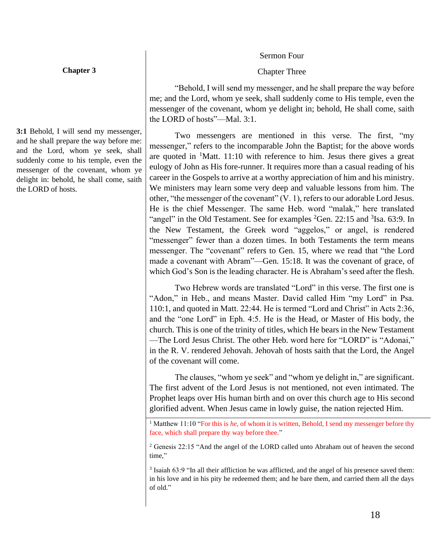#### Sermon Four

# Chapter Three

"Behold, I will send my messenger, and he shall prepare the way before me; and the Lord, whom ye seek, shall suddenly come to His temple, even the messenger of the covenant, whom ye delight in; behold, He shall come, saith the LORD of hosts"—Mal. 3:1.

Two messengers are mentioned in this verse. The first, "my messenger," refers to the incomparable John the Baptist; for the above words are quoted in  ${}^{1}$ Matt. 11:10 with reference to him. Jesus there gives a great eulogy of John as His fore-runner. It requires more than a casual reading of his career in the Gospels to arrive at a worthy appreciation of him and his ministry. We ministers may learn some very deep and valuable lessons from him. The other, "the messenger of the covenant" (V. 1), refers to our adorable Lord Jesus. He is the chief Messenger. The same Heb. word "malak," here translated "angel" in the Old Testament. See for examples  ${}^{2}$ Gen. 22:15 and  ${}^{3}$ Isa. 63:9. In the New Testament, the Greek word "aggelos," or angel, is rendered "messenger" fewer than a dozen times. In both Testaments the term means messenger. The "covenant" refers to Gen. 15, where we read that "the Lord made a covenant with Abram"—Gen. 15:18. It was the covenant of grace, of which God's Son is the leading character. He is Abraham's seed after the flesh.

Two Hebrew words are translated "Lord" in this verse. The first one is "Adon," in Heb., and means Master. David called Him "my Lord" in Psa. 110:1, and quoted in Matt. 22:44. He is termed "Lord and Christ" in Acts 2:36, and the "one Lord" in Eph. 4:5. He is the Head, or Master of His body, the church. This is one of the trinity of titles, which He bears in the New Testament —The Lord Jesus Christ. The other Heb. word here for "LORD" is "Adonai," in the R. V. rendered Jehovah. Jehovah of hosts saith that the Lord, the Angel of the covenant will come.

The clauses, "whom ye seek" and "whom ye delight in," are significant. The first advent of the Lord Jesus is not mentioned, not even intimated. The Prophet leaps over His human birth and on over this church age to His second glorified advent. When Jesus came in lowly guise, the nation rejected Him.

<sup>1</sup> Matthew 11:10 "For this is *he*, of whom it is written, Behold, I send my messenger before thy face, which shall prepare thy way before thee."

<sup>2</sup> Genesis 22:15 "And the angel of the LORD called unto Abraham out of heaven the second time,"

<sup>3</sup> Isaiah 63:9 "In all their affliction he was afflicted, and the angel of his presence saved them: in his love and in his pity he redeemed them; and he bare them, and carried them all the days of old."

**3:1** Behold, I will send my messenger, and he shall prepare the way before me: and the Lord, whom ye seek, shall suddenly come to his temple, even the messenger of the covenant, whom ye delight in: behold, he shall come, saith the LORD of hosts.

#### **Chapter 3**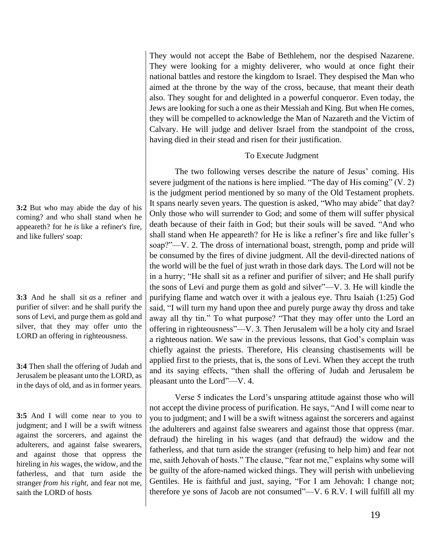**3:2** But who may abide the day of his coming? and who shall stand when he appeareth? for he *is* like a refiner's fire, and like fullers' soap:

**3:3** And he shall sit *as* a refiner and purifier of silver: and he shall purify the sons of Levi, and purge them as gold and silver, that they may offer unto the LORD an offering in righteousness.

**3:4** Then shall the offering of Judah and Jerusalem be pleasant unto the LORD, as in the days of old, and as in former years.

**3:5** And I will come near to you to judgment; and I will be a swift witness against the sorcerers, and against the adulterers, and against false swearers, and against those that oppress the hireling in *his* wages, the widow, and the fatherless, and that turn aside the stranger *from his right*, and fear not me, saith the LORD of hosts

They would not accept the Babe of Bethlehem, nor the despised Nazarene. They were looking for a mighty deliverer, who would at once fight their national battles and restore the kingdom to Israel. They despised the Man who aimed at the throne by the way of the cross, because, that meant their death also. They sought for and delighted in a powerful conqueror. Even today, the Jews are looking for such a one as their Messiah and King. But when He comes, they will be compelled to acknowledge the Man of Nazareth and the Victim of Calvary. He will judge and deliver Israel from the standpoint of the cross, having died in their stead and risen for their justification.

# To Execute Judgment

The two following verses describe the nature of Jesus' coming. His severe judgment of the nations is here implied. "The day of His coming" (V. 2) is the judgment period mentioned by so many of the Old Testament prophets. It spans nearly seven years. The question is asked, "Who may abide" that day? Only those who will surrender to God; and some of them will suffer physical death because of their faith in God; but their souls will be saved. "And who shall stand when He appeareth? for He is like a refiner's fire and like fuller's soap?"—V. 2. The dross of international boast, strength, pomp and pride will be consumed by the fires of divine judgment. All the devil-directed nations of the world will be the fuel of just wrath in those dark days. The Lord will not be in a hurry; "He shall sit as a refiner and purifier of silver; and He shall purify the sons of Levi and purge them as gold and silver"—V. 3. He will kindle the purifying flame and watch over it with a jealous eye. Thru Isaiah (1:25) God said, "I will turn my hand upon thee and purely purge away thy dross and take away all thy tin." To what purpose? "That they may offer unto the Lord an offering in righteousness"—V. 3. Then Jerusalem will be a holy city and Israel a righteous nation. We saw in the previous lessons, that God's complain was chiefly against the priests. Therefore, His cleansing chastisements will be applied first to the priests, that is, the sons of Levi. When they accept the truth and its saying effects, "then shall the offering of Judah and Jerusalem be pleasant unto the Lord"—V. 4.

Verse 5 indicates the Lord's unsparing attitude against those who will not accept the divine process of purification. He says, "And I will come near to you to judgment; and I will be a swift witness against the sorcerers and against the adulterers and against false swearers and against those that oppress (mar. defraud) the hireling in his wages (and that defraud) the widow and the fatherless, and that turn aside the stranger (refusing to help him) and fear not me, saith Jehovah of hosts." The clause, "fear not me," explains why some will be guilty of the afore-named wicked things. They will perish with unbelieving Gentiles. He is faithful and just, saying, "For I am Jehovah: I change not; therefore ye sons of Jacob are not consumed"—V. 6 R.V. I will fulfill all my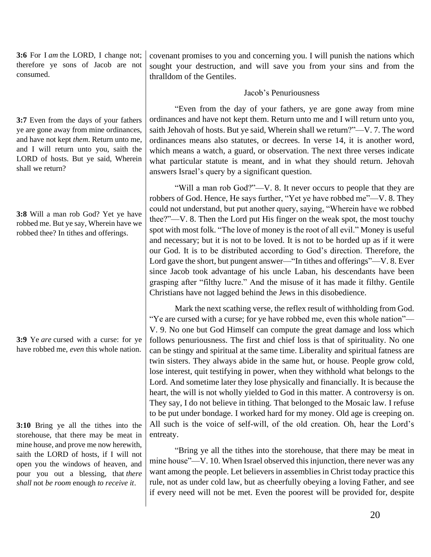**3:6** For I *am* the LORD, I change not; therefore ye sons of Jacob are not consumed.

**3:7** Even from the days of your fathers ye are gone away from mine ordinances, and have not kept *them*. Return unto me, and I will return unto you, saith the LORD of hosts. But ye said, Wherein shall we return?

| 3:8 Will a man rob God? Yet ye have    |
|----------------------------------------|
| robbed me. But ye say, Wherein have we |
| robbed thee? In tithes and offerings.  |

**3:9** Ye *are* cursed with a curse: for ye have robbed me, *even* this whole nation.

**3:10** Bring ye all the tithes into the storehouse, that there may be meat in mine house, and prove me now herewith, saith the LORD of hosts, if I will not open you the windows of heaven, and pour you out a blessing, that *there shall* not *be room* enough *to receive it*.

covenant promises to you and concerning you. I will punish the nations which sought your destruction, and will save you from your sins and from the thralldom of the Gentiles.

### Jacob's Penuriousness

"Even from the day of your fathers, ye are gone away from mine ordinances and have not kept them. Return unto me and I will return unto you, saith Jehovah of hosts. But ye said, Wherein shall we return?"—V. 7. The word ordinances means also statutes, or decrees. In verse 14, it is another word, which means a watch, a guard, or observation. The next three verses indicate what particular statute is meant, and in what they should return. Jehovah answers Israel's query by a significant question.

"Will a man rob God?"—V. 8. It never occurs to people that they are robbers of God. Hence, He says further, "Yet ye have robbed me"—V. 8. They could not understand, but put another query, saying, "Wherein have we robbed thee?"—V. 8. Then the Lord put His finger on the weak spot, the most touchy spot with most folk. "The love of money is the root of all evil." Money is useful and necessary; but it is not to be loved. It is not to be horded up as if it were our God. It is to be distributed according to God's direction. Therefore, the Lord gave the short, but pungent answer—"In tithes and offerings"—V. 8. Ever since Jacob took advantage of his uncle Laban, his descendants have been grasping after "filthy lucre." And the misuse of it has made it filthy. Gentile Christians have not lagged behind the Jews in this disobedience.

Mark the next scathing verse, the reflex result of withholding from God. "Ye are cursed with a curse; for ye have robbed me, even this whole nation"— V. 9. No one but God Himself can compute the great damage and loss which follows penuriousness. The first and chief loss is that of spirituality. No one can be stingy and spiritual at the same time. Liberality and spiritual fatness are twin sisters. They always abide in the same hut, or house. People grow cold, lose interest, quit testifying in power, when they withhold what belongs to the Lord. And sometime later they lose physically and financially. It is because the heart, the will is not wholly yielded to God in this matter. A controversy is on. They say, I do not believe in tithing. That belonged to the Mosaic law. I refuse to be put under bondage. I worked hard for my money. Old age is creeping on. All such is the voice of self-will, of the old creation. Oh, hear the Lord's entreaty.

"Bring ye all the tithes into the storehouse, that there may be meat in mine house"—V. 10. When Israel observed this injunction, there never was any want among the people. Let believers in assemblies in Christ today practice this rule, not as under cold law, but as cheerfully obeying a loving Father, and see if every need will not be met. Even the poorest will be provided for, despite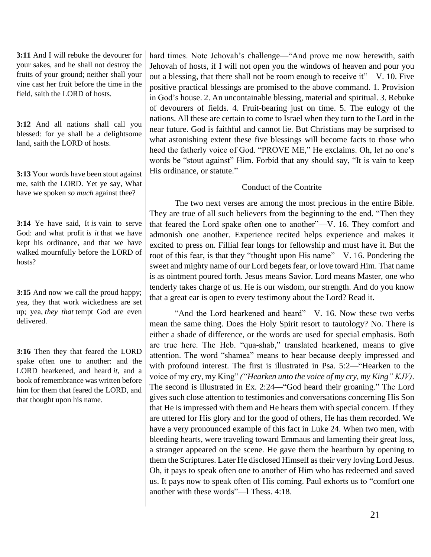**3:11** And I will rebuke the devourer for your sakes, and he shall not destroy the fruits of your ground; neither shall your vine cast her fruit before the time in the field, saith the LORD of hosts.

**3:12** And all nations shall call you blessed: for ye shall be a delightsome land, saith the LORD of hosts.

**3:13** Your words have been stout against me, saith the LORD. Yet ye say, What have we spoken *so much* against thee?

**3:14** Ye have said, It *is* vain to serve God: and what profit *is it* that we have kept his ordinance, and that we have walked mournfully before the LORD of hosts?

**3:15** And now we call the proud happy; yea, they that work wickedness are set up; yea, *they that* tempt God are even delivered.

**3:16** Then they that feared the LORD spake often one to another: and the LORD hearkened, and heard *it*, and a book of remembrance was written before him for them that feared the LORD, and that thought upon his name.

hard times. Note Jehovah's challenge—"And prove me now herewith, saith Jehovah of hosts, if I will not open you the windows of heaven and pour you out a blessing, that there shall not be room enough to receive it"—V. 10. Five positive practical blessings are promised to the above command. 1. Provision in God's house. 2. An uncontainable blessing, material and spiritual. 3. Rebuke of devourers of fields. 4. Fruit-bearing just on time. 5. The eulogy of the nations. All these are certain to come to Israel when they turn to the Lord in the near future. God is faithful and cannot lie. But Christians may be surprised to what astonishing extent these five blessings will become facts to those who heed the fatherly voice of God. "PROVE ME," He exclaims. Oh, let no one's words be "stout against" Him. Forbid that any should say, "It is vain to keep His ordinance, or statute."

# Conduct of the Contrite

The two next verses are among the most precious in the entire Bible. They are true of all such believers from the beginning to the end. "Then they that feared the Lord spake often one to another"—V. 16. They comfort and admonish one another. Experience recited helps experience and makes it excited to press on. Fillial fear longs for fellowship and must have it. But the root of this fear, is that they "thought upon His name"—V. 16. Pondering the sweet and mighty name of our Lord begets fear, or love toward Him. That name is as ointment poured forth. Jesus means Savior. Lord means Master, one who tenderly takes charge of us. He is our wisdom, our strength. And do you know that a great ear is open to every testimony about the Lord? Read it.

"And the Lord hearkened and heard"—V. 16. Now these two verbs mean the same thing. Does the Holy Spirit resort to tautology? No. There is either a shade of difference, or the words are used for special emphasis. Both are true here. The Heb. "qua-shab," translated hearkened, means to give attention. The word "shamea" means to hear because deeply impressed and with profound interest. The first is illustrated in Psa. 5:2—"Hearken to the voice of my cry, my King" *("Hearken unto the voice of my cry, my King" KJV)*. The second is illustrated in Ex. 2:24—"God heard their groaning." The Lord gives such close attention to testimonies and conversations concerning His Son that He is impressed with them and He hears them with special concern. If they are uttered for His glory and for the good of others, He has them recorded. We have a very pronounced example of this fact in Luke 24. When two men, with bleeding hearts, were traveling toward Emmaus and lamenting their great loss, a stranger appeared on the scene. He gave them the heartburn by opening to them the Scriptures. Later He disclosed Himself as their very loving Lord Jesus. Oh, it pays to speak often one to another of Him who has redeemed and saved us. It pays now to speak often of His coming. Paul exhorts us to "comfort one another with these words"—l Thess. 4:18.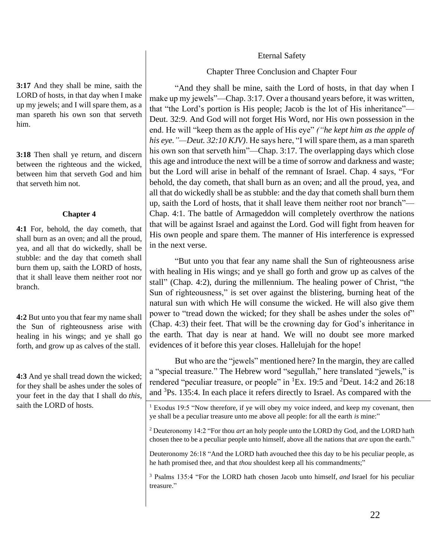# Eternal Safety

Chapter Three Conclusion and Chapter Four

"And they shall be mine, saith the Lord of hosts, in that day when I make up my jewels"—Chap. 3:17. Over a thousand years before, it was written, that "the Lord's portion is His people; Jacob is the lot of His inheritance"— Deut. 32:9. And God will not forget His Word, nor His own possession in the end. He will "keep them as the apple of His eye" *("he kept him as the apple of his eye."—Deut. 32:10 KJV)*. He says here, "I will spare them, as a man spareth his own son that serveth him"—Chap. 3:17. The overlapping days which close this age and introduce the next will be a time of sorrow and darkness and waste; but the Lord will arise in behalf of the remnant of Israel. Chap. 4 says, "For behold, the day cometh, that shall burn as an oven; and all the proud, yea, and all that do wickedly shall be as stubble: and the day that cometh shall burn them up, saith the Lord of hosts, that it shall leave them neither root nor branch"— Chap. 4:1. The battle of Armageddon will completely overthrow the nations that will be against Israel and against the Lord. God will fight from heaven for His own people and spare them. The manner of His interference is expressed in the next verse.

"But unto you that fear any name shall the Sun of righteousness arise with healing in His wings; and ye shall go forth and grow up as calves of the stall" (Chap. 4:2), during the millennium. The healing power of Christ, "the Sun of righteousness," is set over against the blistering, burning heat of the natural sun with which He will consume the wicked. He will also give them power to "tread down the wicked; for they shall be ashes under the soles of" (Chap. 4:3) their feet. That will be the crowning day for God's inheritance in the earth. That day is near at hand. We will no doubt see more marked evidences of it before this year closes. Hallelujah for the hope!

But who are the "jewels" mentioned here? In the margin, they are called a "special treasure." The Hebrew word "segullah," here translated "jewels," is rendered "peculiar treasure, or people" in <sup>1</sup>Ex. 19:5 and <sup>2</sup>Deut. 14:2 and 26:18 and <sup>3</sup>Ps. 135:4. In each place it refers directly to Israel. As compared with the

 $1$  Exodus 19:5 "Now therefore, if ye will obey my voice indeed, and keep my covenant, then ye shall be a peculiar treasure unto me above all people: for all the earth *is* mine:"

<sup>2</sup> Deuteronomy 14:2 "For thou *art* an holy people unto the LORD thy God, and the LORD hath chosen thee to be a peculiar people unto himself, above all the nations that *are* upon the earth."

Deuteronomy 26:18 "And the LORD hath avouched thee this day to be his peculiar people, as he hath promised thee, and that *thou* shouldest keep all his commandments;"

<sup>3</sup> Psalms 135:4 "For the LORD hath chosen Jacob unto himself, *and* Israel for his peculiar treasure."

**3:17** And they shall be mine, saith the LORD of hosts, in that day when I make up my jewels; and I will spare them, as a man spareth his own son that serveth him.

**3:18** Then shall ye return, and discern between the righteous and the wicked, between him that serveth God and him that serveth him not.

# **Chapter 4**

**4:1** For, behold, the day cometh, that shall burn as an oven; and all the proud, yea, and all that do wickedly, shall be stubble: and the day that cometh shall burn them up, saith the LORD of hosts, that it shall leave them neither root nor branch.

**4:2** But unto you that fear my name shall the Sun of righteousness arise with healing in his wings; and ye shall go forth, and grow up as calves of the stall.

**4:3** And ye shall tread down the wicked; for they shall be ashes under the soles of your feet in the day that I shall do *this*, saith the LORD of hosts.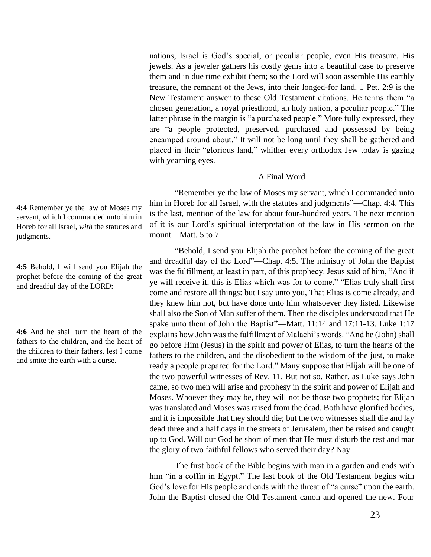nations, Israel is God's special, or peculiar people, even His treasure, His jewels. As a jeweler gathers his costly gems into a beautiful case to preserve them and in due time exhibit them; so the Lord will soon assemble His earthly treasure, the remnant of the Jews, into their longed-for land. 1 Pet. 2:9 is the New Testament answer to these Old Testament citations. He terms them "a chosen generation, a royal priesthood, an holy nation, a peculiar people." The latter phrase in the margin is "a purchased people." More fully expressed, they are "a people protected, preserved, purchased and possessed by being encamped around about." It will not be long until they shall be gathered and placed in their "glorious land," whither every orthodox Jew today is gazing with yearning eyes.

# A Final Word

"Remember ye the law of Moses my servant, which I commanded unto him in Horeb for all Israel, with the statutes and judgments"—Chap. 4:4. This is the last, mention of the law for about four-hundred years. The next mention of it is our Lord's spiritual interpretation of the law in His sermon on the mount—Matt. 5 to 7.

"Behold, I send you Elijah the prophet before the coming of the great and dreadful day of the Lord"—Chap. 4:5. The ministry of John the Baptist was the fulfillment, at least in part, of this prophecy. Jesus said of him, "And if ye will receive it, this is Elias which was for to come." "Elias truly shall first come and restore all things: but I say unto you, That Elias is come already, and they knew him not, but have done unto him whatsoever they listed. Likewise shall also the Son of Man suffer of them. Then the disciples understood that He spake unto them of John the Baptist"—Matt. 11:14 and 17:11-13. Luke 1:17 explains how John was the fulfillment of Malachi's words. "And he (John) shall go before Him (Jesus) in the spirit and power of Elias, to turn the hearts of the fathers to the children, and the disobedient to the wisdom of the just, to make ready a people prepared for the Lord." Many suppose that Elijah will be one of the two powerful witnesses of Rev. 11. But not so. Rather, as Luke says John came, so two men will arise and prophesy in the spirit and power of Elijah and Moses. Whoever they may be, they will not be those two prophets; for Elijah was translated and Moses was raised from the dead. Both have glorified bodies, and it is impossible that they should die; but the two witnesses shall die and lay dead three and a half days in the streets of Jerusalem, then be raised and caught up to God. Will our God be short of men that He must disturb the rest and mar the glory of two faithful fellows who served their day? Nay.

The first book of the Bible begins with man in a garden and ends with him "in a coffin in Egypt." The last book of the Old Testament begins with God's love for His people and ends with the threat of "a curse" upon the earth. John the Baptist closed the Old Testament canon and opened the new. Four

**4:4** Remember ye the law of Moses my servant, which I commanded unto him in Horeb for all Israel, *with* the statutes and judgments.

**4:5** Behold, I will send you Elijah the prophet before the coming of the great and dreadful day of the LORD:

**4:6** And he shall turn the heart of the fathers to the children, and the heart of the children to their fathers, lest I come and smite the earth with a curse.